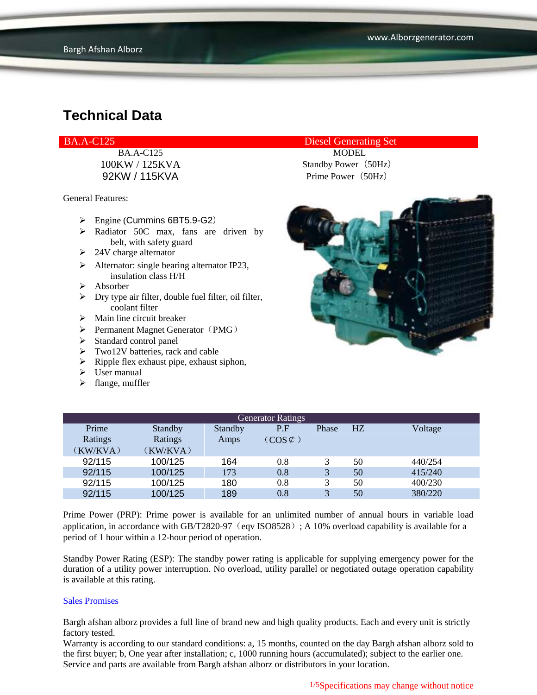General Features:

- $\triangleright$  Engine (Cummins 6BT5.9-G2)
- > Radiator 50C max, fans are driven by belt, with safety guard
- $\geq$  24V charge alternator
- $\triangleright$  Alternator: single bearing alternator IP23, insulation class H/H
- $\triangleright$  Absorber
- $\triangleright$  Dry type air filter, double fuel filter, oil filter, coolant filter
- $\triangleright$  Main line circuit breaker
- $\triangleright$  Permanent Magnet Generator (PMG)
- $\triangleright$  Standard control panel
- $\triangleright$  Two12V batteries, rack and cable
- $\triangleright$  Ripple flex exhaust pipe, exhaust siphon,
- User manual
- $\blacktriangleright$  flange, muffler

#### BA.A-C125 Diesel Generating Set

BA.A-C125 MODEL 100KW / 125KVA Standby Power (50Hz) 92KW / 115KVA Prime Power (50Hz)



| <b>Generator Ratings</b> |          |         |                     |       |    |         |  |
|--------------------------|----------|---------|---------------------|-------|----|---------|--|
| Prime                    | Standby  | Standby | P.F                 | Phase | HZ | Voltage |  |
| Ratings                  | Ratings  | Amps    | $(COS \mathcal{C})$ |       |    |         |  |
| (KW/KVA)                 | (KW/KVA) |         |                     |       |    |         |  |
| 92/115                   | 100/125  | 164     | 0.8                 |       | 50 | 440/254 |  |
| 92/115                   | 100/125  | 173     | 0.8                 | 3     | 50 | 415/240 |  |
| 92/115                   | 100/125  | 180     | 0.8                 | 3     | 50 | 400/230 |  |
| 92/115                   | 100/125  | 189     | 0.8                 | 3     | 50 | 380/220 |  |

Prime Power (PRP): Prime power is available for an unlimited number of annual hours in variable load application, in accordance with GB/T2820-97 (eqv ISO8528); A 10% overload capability is available for a period of 1 hour within a 12-hour period of operation.

Standby Power Rating (ESP): The standby power rating is applicable for supplying emergency power for the duration of a utility power interruption. No overload, utility parallel or negotiated outage operation capability is available at this rating.

#### Sales Promises

Bargh afshan alborz provides a full line of brand new and high quality products. Each and every unit is strictly factory tested.

Warranty is according to our standard conditions: a, 15 months, counted on the day Bargh afshan alborz sold to the first buyer; b, One year after installation; c, 1000 running hours (accumulated); subject to the earlier one. Service and parts are available from Bargh afshan alborz or distributors in your location.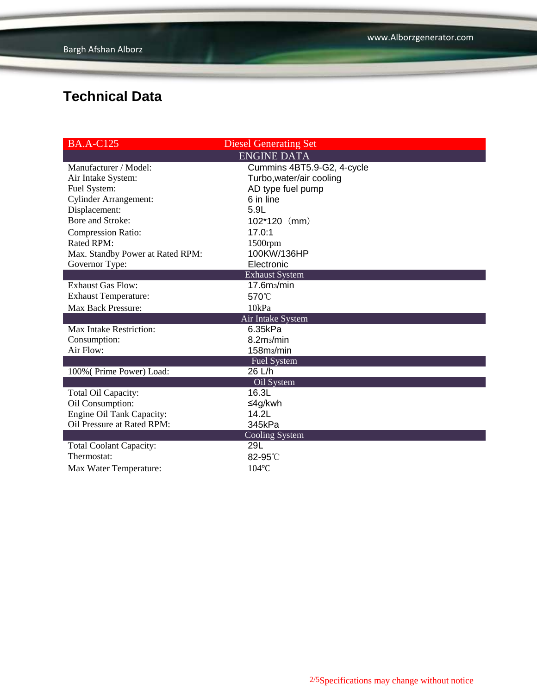| <b>BA.A-C125</b>                 | <b>Diesel Generating Set</b> |  |  |  |  |  |
|----------------------------------|------------------------------|--|--|--|--|--|
| <b>ENGINE DATA</b>               |                              |  |  |  |  |  |
| Manufacturer / Model:            | Cummins 4BT5.9-G2, 4-cycle   |  |  |  |  |  |
| Air Intake System:               | Turbo, water/air cooling     |  |  |  |  |  |
| Fuel System:                     | AD type fuel pump            |  |  |  |  |  |
| <b>Cylinder Arrangement:</b>     | 6 in line                    |  |  |  |  |  |
| Displacement:                    | 5.9L                         |  |  |  |  |  |
| <b>Bore and Stroke:</b>          | 102*120 (mm)                 |  |  |  |  |  |
| <b>Compression Ratio:</b>        | 17.0:1                       |  |  |  |  |  |
| Rated RPM:                       | 1500rpm                      |  |  |  |  |  |
| Max. Standby Power at Rated RPM: | 100KW/136HP                  |  |  |  |  |  |
| Governor Type:                   | Electronic                   |  |  |  |  |  |
|                                  | <b>Exhaust System</b>        |  |  |  |  |  |
| <b>Exhaust Gas Flow:</b>         | 17.6m <sub>3</sub> /min      |  |  |  |  |  |
| <b>Exhaust Temperature:</b>      | 570°C                        |  |  |  |  |  |
| Max Back Pressure:               | 10kPa                        |  |  |  |  |  |
|                                  | Air Intake System            |  |  |  |  |  |
| <b>Max Intake Restriction:</b>   | 6.35kPa                      |  |  |  |  |  |
| Consumption:                     | 8.2m <sub>3</sub> /min       |  |  |  |  |  |
| Air Flow:                        | 158m <sub>3</sub> /min       |  |  |  |  |  |
|                                  | <b>Fuel System</b>           |  |  |  |  |  |
| 100% (Prime Power) Load:         | 26 L/h                       |  |  |  |  |  |
| Oil System                       |                              |  |  |  |  |  |
| Total Oil Capacity:              | 16.3L                        |  |  |  |  |  |
| Oil Consumption:                 | ≤4g/kwh                      |  |  |  |  |  |
| Engine Oil Tank Capacity:        | 14.2 <sub>l</sub>            |  |  |  |  |  |
| Oil Pressure at Rated RPM:       | 345kPa                       |  |  |  |  |  |
| <b>Cooling System</b>            |                              |  |  |  |  |  |
| <b>Total Coolant Capacity:</b>   | 29L                          |  |  |  |  |  |
| Thermostat:                      | $82-95^\circ$                |  |  |  |  |  |
| Max Water Temperature:           | 104°C                        |  |  |  |  |  |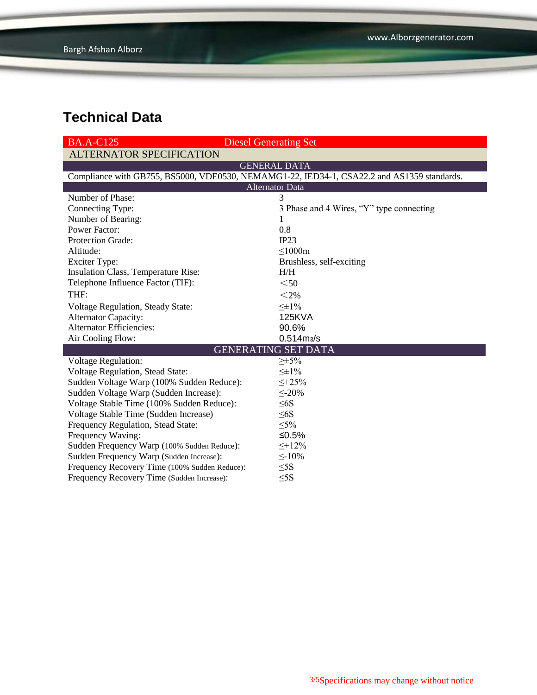| <b>BA.A-C125</b>                                                                           | <b>Diesel Generating Set</b>             |  |  |  |  |  |
|--------------------------------------------------------------------------------------------|------------------------------------------|--|--|--|--|--|
| <b>ALTERNATOR SPECIFICATION</b>                                                            |                                          |  |  |  |  |  |
| <b>GENERAL DATA</b>                                                                        |                                          |  |  |  |  |  |
| Compliance with GB755, BS5000, VDE0530, NEMAMG1-22, IED34-1, CSA22.2 and AS1359 standards. |                                          |  |  |  |  |  |
| <b>Alternator Data</b>                                                                     |                                          |  |  |  |  |  |
| Number of Phase:                                                                           | 3                                        |  |  |  |  |  |
| Connecting Type:                                                                           | 3 Phase and 4 Wires, "Y" type connecting |  |  |  |  |  |
| Number of Bearing:                                                                         |                                          |  |  |  |  |  |
| <b>Power Factor:</b>                                                                       | 0.8                                      |  |  |  |  |  |
| <b>Protection Grade:</b>                                                                   | IP23                                     |  |  |  |  |  |
| Altitude:                                                                                  | $\leq$ 1000m                             |  |  |  |  |  |
| <b>Exciter Type:</b>                                                                       | Brushless, self-exciting                 |  |  |  |  |  |
| Insulation Class, Temperature Rise:                                                        | H/H                                      |  |  |  |  |  |
| Telephone Influence Factor (TIF):                                                          | $50$                                     |  |  |  |  |  |
| THF:                                                                                       | $<$ 2%                                   |  |  |  |  |  |
| Voltage Regulation, Steady State:                                                          | $\leq \pm 1\%$                           |  |  |  |  |  |
| <b>Alternator Capacity:</b>                                                                | <b>125KVA</b>                            |  |  |  |  |  |
| <b>Alternator Efficiencies:</b>                                                            | 90.6%                                    |  |  |  |  |  |
| Air Cooling Flow:                                                                          | $0.514 \text{m}$ <sub>3</sub> /s         |  |  |  |  |  |
|                                                                                            | <b>GENERATING SET DATA</b>               |  |  |  |  |  |
| <b>Voltage Regulation:</b>                                                                 | $\geq \pm 5\%$                           |  |  |  |  |  |
| Voltage Regulation, Stead State:                                                           | $\leq \pm 1\%$                           |  |  |  |  |  |
| Sudden Voltage Warp (100% Sudden Reduce):                                                  | $\leq +25\%$                             |  |  |  |  |  |
| Sudden Voltage Warp (Sudden Increase):                                                     | $\leq$ -20%                              |  |  |  |  |  |
| Voltage Stable Time (100% Sudden Reduce):                                                  | $\leq 6S$                                |  |  |  |  |  |
| Voltage Stable Time (Sudden Increase)                                                      | $\leq 6S$                                |  |  |  |  |  |
| Frequency Regulation, Stead State:                                                         | $\leq 5\%$                               |  |  |  |  |  |
| Frequency Waving:                                                                          | ≤0.5%                                    |  |  |  |  |  |
| Sudden Frequency Warp (100% Sudden Reduce):                                                | $\leq +12\%$                             |  |  |  |  |  |
| Sudden Frequency Warp (Sudden Increase):                                                   | $\leq$ -10%                              |  |  |  |  |  |
| Frequency Recovery Time (100% Sudden Reduce):                                              | $\leq$ 5S                                |  |  |  |  |  |
| Frequency Recovery Time (Sudden Increase):                                                 | $\leq$ 5S                                |  |  |  |  |  |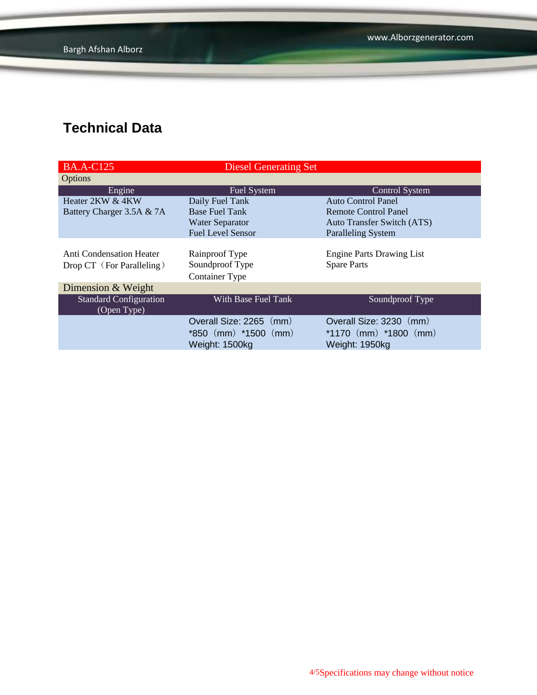| <b>BA.A-C125</b>                                      | <b>Diesel Generating Set</b>                                          |                                                                        |  |
|-------------------------------------------------------|-----------------------------------------------------------------------|------------------------------------------------------------------------|--|
| Options                                               |                                                                       |                                                                        |  |
| Engine                                                | <b>Fuel System</b>                                                    | <b>Control System</b>                                                  |  |
| Heater 2KW & 4KW                                      | Daily Fuel Tank                                                       | <b>Auto Control Panel</b>                                              |  |
| Battery Charger 3.5A & 7A                             | <b>Base Fuel Tank</b>                                                 | Remote Control Panel                                                   |  |
|                                                       | <b>Water Separator</b>                                                | <b>Auto Transfer Switch (ATS)</b>                                      |  |
|                                                       | <b>Fuel Level Sensor</b>                                              | <b>Paralleling System</b>                                              |  |
| Anti Condensation Heater<br>Drop CT (For Paralleling) | Rainproof Type<br>Soundproof Type<br><b>Container Type</b>            | <b>Engine Parts Drawing List</b><br><b>Spare Parts</b>                 |  |
| Dimension & Weight                                    |                                                                       |                                                                        |  |
| <b>Standard Configuration</b><br>(Open Type)          | With Base Fuel Tank                                                   | Soundproof Type                                                        |  |
|                                                       | Overall Size: 2265 (mm)<br>$*850$ (mm) $*1500$ (mm)<br>Weight: 1500kg | Overall Size: 3230 (mm)<br>*1170 $(mm)$ *1800 $(mm)$<br>Weight: 1950kg |  |